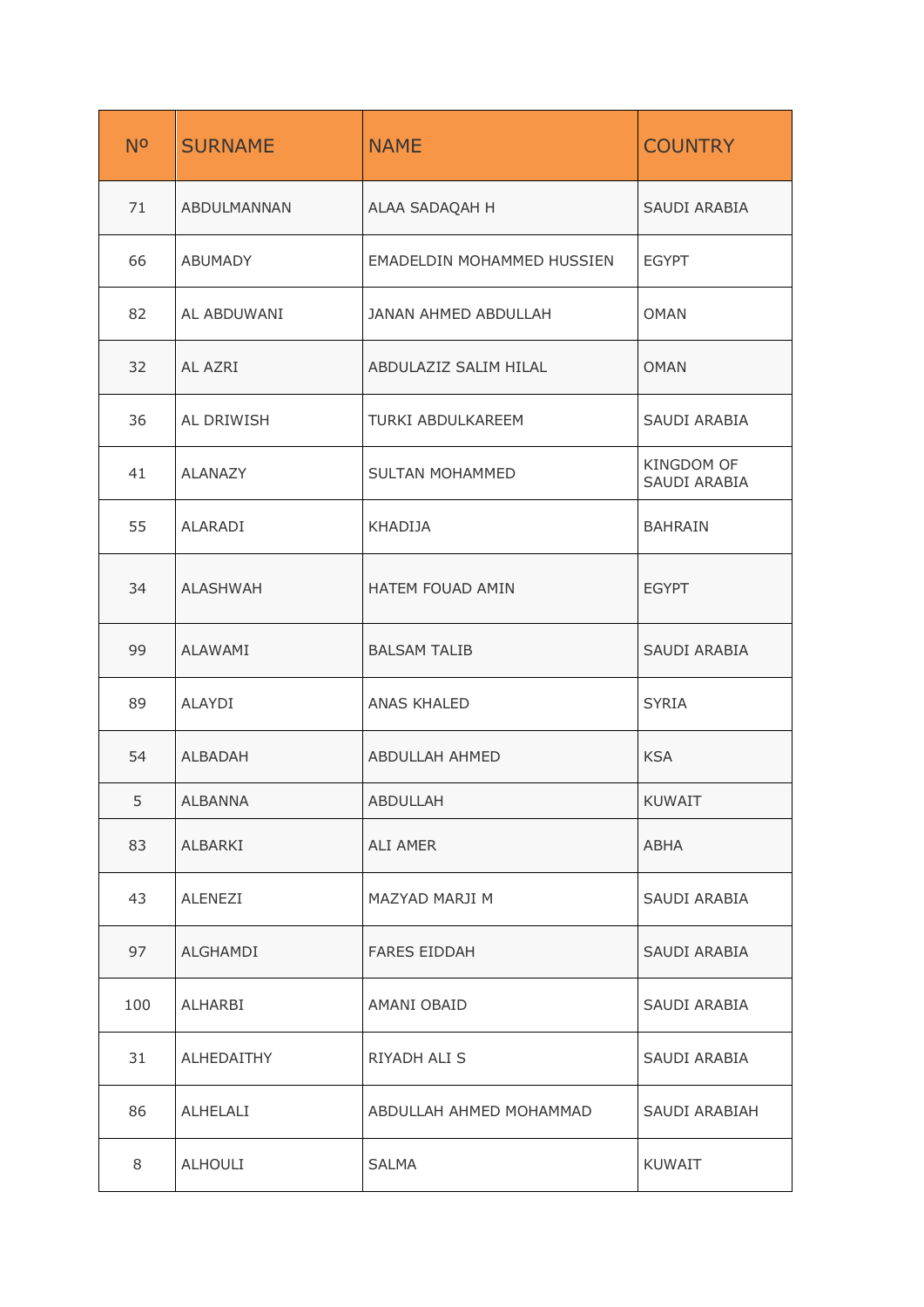| N <sup>o</sup> | <b>SURNAME</b>  | <b>NAME</b>                | <b>COUNTRY</b>             |
|----------------|-----------------|----------------------------|----------------------------|
| 71             | ABDULMANNAN     | ALAA SADAQAH H             | SAUDI ARABIA               |
| 66             | ABUMADY         | EMADELDIN MOHAMMED HUSSIEN | <b>EGYPT</b>               |
| 82             | AL ABDUWANI     | JANAN AHMED ABDULLAH       | <b>OMAN</b>                |
| 32             | AL AZRI         | ABDULAZIZ SALIM HILAL      | <b>OMAN</b>                |
| 36             | AL DRIWISH      | TURKI ABDULKAREEM          | SAUDI ARABIA               |
| 41             | ALANAZY         | SULTAN MOHAMMED            | KINGDOM OF<br>SAUDI ARABIA |
| 55             | ALARADI         | KHADIJA                    | <b>BAHRAIN</b>             |
| 34             | <b>ALASHWAH</b> | HATEM FOUAD AMIN           | <b>EGYPT</b>               |
| 99             | ALAWAMI         | <b>BALSAM TALIB</b>        | SAUDI ARABIA               |
| 89             | ALAYDI          | <b>ANAS KHALED</b>         | <b>SYRIA</b>               |
| 54             | ALBADAH         | ABDULLAH AHMED             | <b>KSA</b>                 |
| 5              | ALBANNA         | ABDULLAH                   | KUWAIT                     |
| 83             | ALBARKI         | ALI AMER                   | ABHA                       |
| 43             | ALENEZI         | MAZYAD MARJI M             | SAUDI ARABIA               |
| 97             | ALGHAMDI        | <b>FARES EIDDAH</b>        | SAUDI ARABIA               |
| 100            | ALHARBI         | AMANI OBAID                | SAUDI ARABIA               |
| 31             | ALHEDAITHY      | RIYADH ALI S               | SAUDI ARABIA               |
| 86             | ALHELALI        | ABDULLAH AHMED MOHAMMAD    | SAUDI ARABIAH              |
| 8              | ALHOULI         | <b>SALMA</b>               | KUWAIT                     |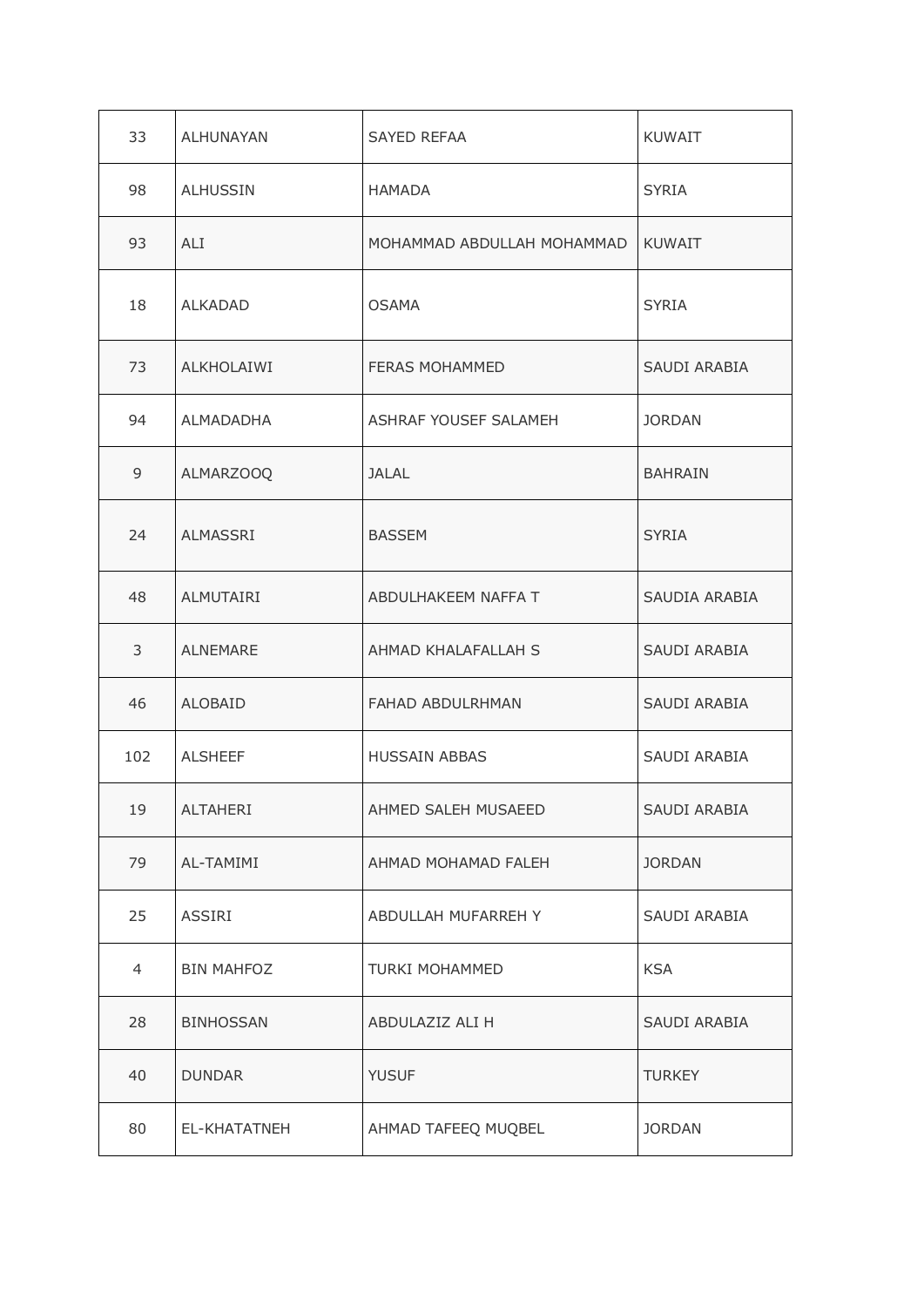| 33             | ALHUNAYAN         | SAYED REFAA                | <b>KUWAIT</b>  |
|----------------|-------------------|----------------------------|----------------|
| 98             | <b>ALHUSSIN</b>   | HAMADA                     | <b>SYRIA</b>   |
| 93             | ALI               | MOHAMMAD ABDULLAH MOHAMMAD | <b>KUWAIT</b>  |
| 18             | <b>ALKADAD</b>    | <b>OSAMA</b>               | <b>SYRIA</b>   |
| 73             | ALKHOLAIWI        | FERAS MOHAMMED             | SAUDI ARABIA   |
| 94             | ALMADADHA         | ASHRAF YOUSEF SALAMEH      | <b>JORDAN</b>  |
| 9              | ALMARZOOQ         | <b>JALAL</b>               | <b>BAHRAIN</b> |
| 24             | ALMASSRI          | <b>BASSEM</b>              | <b>SYRIA</b>   |
| 48             | ALMUTAIRI         | ABDULHAKEEM NAFFA T        | SAUDIA ARABIA  |
| 3              | <b>ALNEMARE</b>   | AHMAD KHALAFALLAH S        | SAUDI ARABIA   |
| 46             | ALOBAID           | FAHAD ABDULRHMAN           | SAUDI ARABIA   |
| 102            | <b>ALSHEEF</b>    | <b>HUSSAIN ABBAS</b>       | SAUDI ARABIA   |
| 19             | ALTAHERI          | AHMED SALEH MUSAEED        | SAUDI ARABIA   |
| 79             | AL-TAMIMI         | AHMAD MOHAMAD FALEH        | <b>JORDAN</b>  |
| 25             | ASSIRI            | ABDULLAH MUFARREH Y        | SAUDI ARABIA   |
| $\overline{4}$ | <b>BIN MAHFOZ</b> | <b>TURKI MOHAMMED</b>      | <b>KSA</b>     |
| 28             | <b>BINHOSSAN</b>  | ABDULAZIZ ALI H            | SAUDI ARABIA   |
| 40             | <b>DUNDAR</b>     | <b>YUSUF</b>               | <b>TURKEY</b>  |
| 80             | EL-KHATATNEH      | AHMAD TAFEEQ MUQBEL        | <b>JORDAN</b>  |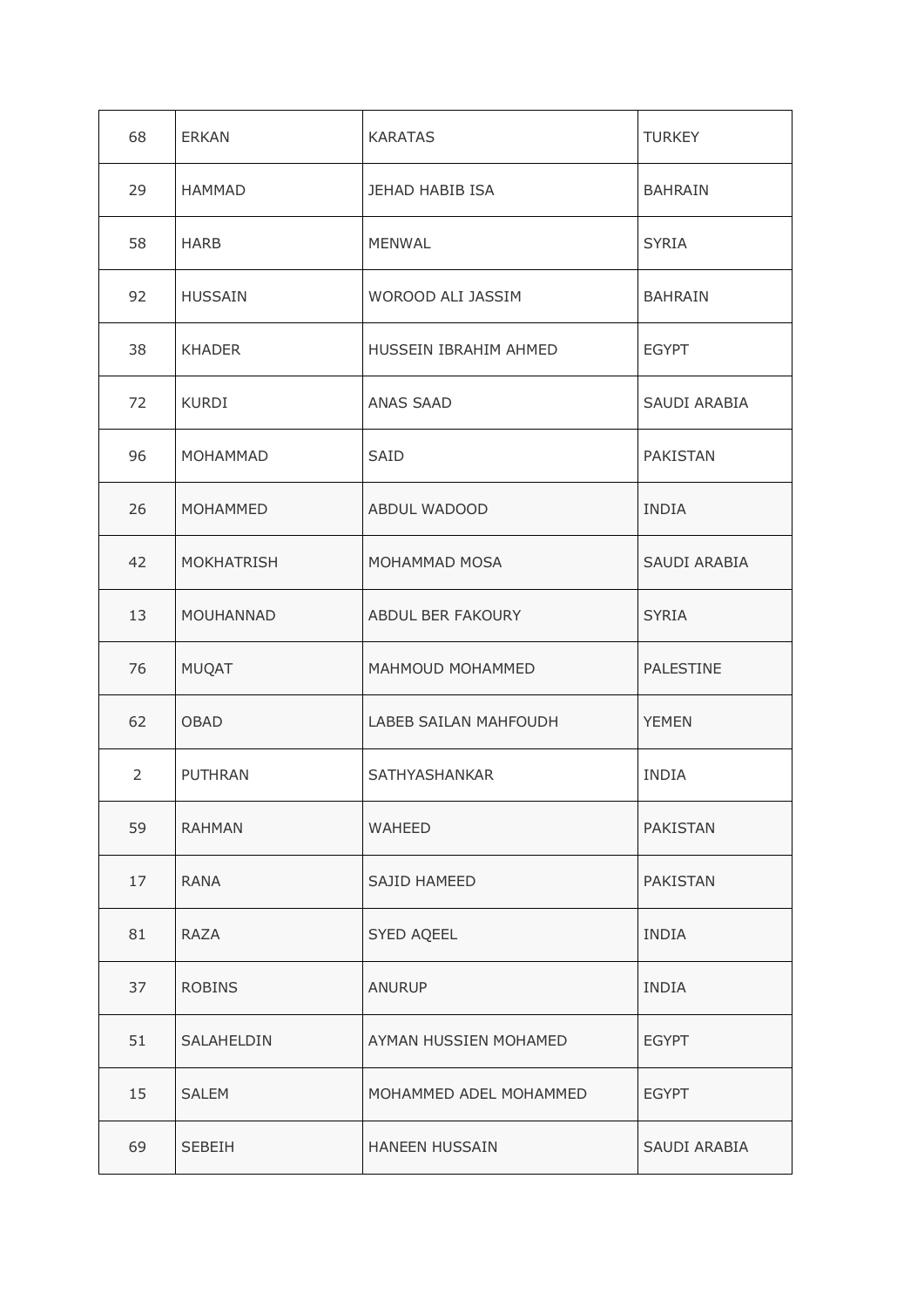| 68             | ERKAN             | <b>KARATAS</b>         | <b>TURKEY</b>   |
|----------------|-------------------|------------------------|-----------------|
| 29             | <b>HAMMAD</b>     | JEHAD HABIB ISA        | <b>BAHRAIN</b>  |
| 58             | <b>HARB</b>       | <b>MENWAL</b>          | <b>SYRIA</b>    |
| 92             | <b>HUSSAIN</b>    | WOROOD ALI JASSIM      | <b>BAHRAIN</b>  |
| 38             | <b>KHADER</b>     | HUSSEIN IBRAHIM AHMED  | <b>EGYPT</b>    |
| 72             | <b>KURDI</b>      | ANAS SAAD              | SAUDI ARABIA    |
| 96             | MOHAMMAD          | <b>SAID</b>            | <b>PAKISTAN</b> |
| 26             | <b>MOHAMMED</b>   | ABDUL WADOOD           | INDIA           |
| 42             | <b>MOKHATRISH</b> | MOHAMMAD MOSA          | SAUDI ARABIA    |
| 13             | <b>MOUHANNAD</b>  | ABDUL BER FAKOURY      | <b>SYRIA</b>    |
| 76             | MUQAT             | MAHMOUD MOHAMMED       | PALESTINE       |
| 62             | OBAD              | LABEB SAILAN MAHFOUDH  | <b>YEMEN</b>    |
| $\overline{2}$ | <b>PUTHRAN</b>    | SATHYASHANKAR          | <b>INDIA</b>    |
| 59             | <b>RAHMAN</b>     | <b>WAHEED</b>          | PAKISTAN        |
| 17             | RANA              | SAJID HAMEED           | <b>PAKISTAN</b> |
| 81             | RAZA              | SYED AQEEL             | <b>INDIA</b>    |
| 37             | <b>ROBINS</b>     | <b>ANURUP</b>          | <b>INDIA</b>    |
| 51             | SALAHELDIN        | AYMAN HUSSIEN MOHAMED  | <b>EGYPT</b>    |
| 15             | <b>SALEM</b>      | MOHAMMED ADEL MOHAMMED | <b>EGYPT</b>    |
| 69             | SEBEIH            | <b>HANEEN HUSSAIN</b>  | SAUDI ARABIA    |